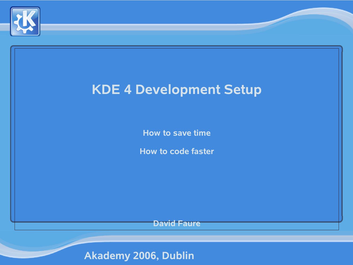

# **KDE 4 Development Setup How to save time How to code faster David Faure**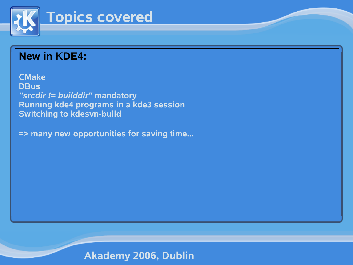

## **New in KDE4:**

**CMake DBus** *"srcdir != builddir"* **mandatory Running kde4 programs in a kde3 session Switching to kdesvn-build**

**=> many new opportunities for saving time...**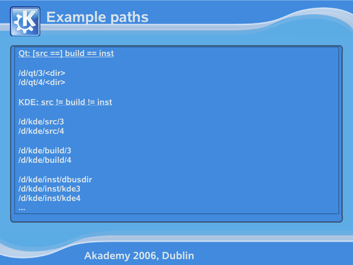

# **Example paths**

#### **Qt: [src ==] build == inst**

**/d/qt/3/<dir> /d/qt/4/<dir>**

**KDE: src != build != inst**

**/d/kde/src/3 /d/kde/src/4**

**/d/kde/build/3 /d/kde/build/4**

**/d/kde/inst/dbusdir /d/kde/inst/kde3 /d/kde/inst/kde4**

**...**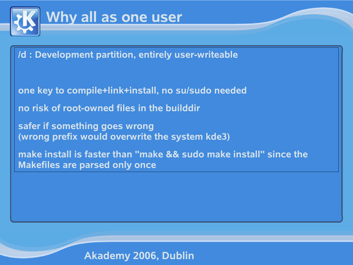

## **Why all as one user**

**/d : Development partition, entirely user-writeable**

**one key to compile+link+install, no su/sudo needed**

**no risk of root-owned files in the builddir**

**safer if something goes wrong (wrong prefix would overwrite the system kde3)**

**make install is faster than "make && sudo make install" since the Makefiles are parsed only once**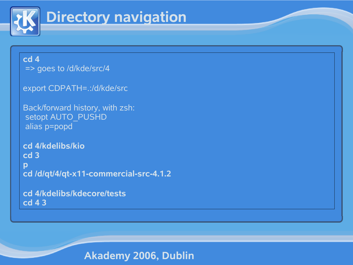

# **Directory navigation**

#### **cd 4**

=> goes to /d/kde/src/4

```
export CDPATH=.:/d/kde/src
```

```
Back/forward history, with zsh:
setopt AUTO_PUSHD
alias p=popd
```

```
cd 4/kdelibs/kio
cd 3
p
cd /d/qt/4/qt-x11-commercial-src-4.1.2
```

```
cd 4/kdelibs/kdecore/tests
cd 4 3
```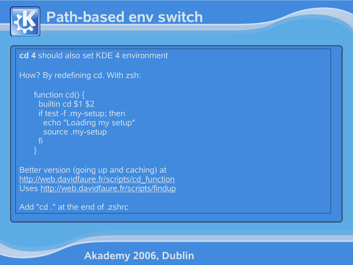

# **Path-based env switch**

```
cd 4 should also set KDE 4 environment
How? By redefining cd. With zsh:
    function cd() \{builtin cd $1 $2
     if test -f .my-setup; then
      echo "Loading my setup"
      source .my-setup
     fi
    }
Better version (going up and caching) at
http://web.davidfaure.fr/scripts/cd_function
Uses http://web.davidfaure.fr/scripts/findup
Add "cd ." at the end of .zshrc
```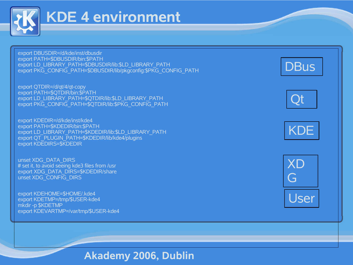

## **KDE 4 environment**

export DBUSDIR=/d/kde/inst/dbusdir export PATH=\$DBUSDIR/bin:\$PATH export LD\_LIBRARY\_PATH=\$DBUSDIR/lib:\$LD\_LIBRARY\_PATH export PKG\_CONFIG\_PATH=\$DBUSDIR/lib/pkgconfig:\$PKG\_CONFIG\_PATH

export QTDIR=/d/qt/4/qt-copy export PATH=\$QTDIR/bin:\$PATH export LD\_LIBRARY\_PATH=\$QTDIR/lib:\$LD\_LIBRARY\_PATH export PKG CONFIG\_PATH=\$QTDIR/lib:\$PKG\_CONFIG\_PATH

export KDEDIR=/d/kde/inst/kde4 export PATH=\$KDEDIR/bin:\$PATH export LD\_LIBRARY\_PATH=\$KDEDIR/lib:\$LD\_LIBRARY\_PATH export QT\_PLUGIN\_PATH=\$KDEDIR/lib/kde4/plugins export KDEDIRS=\$KDEDIR

unset XDG\_DATA\_DIRS # set it, to avoid seeing kde3 files from /usr export XDG\_DATA\_DIRS=\$KDEDIR/share unset XDG\_CONFIG\_DIRS

export KDEHOME=\$HOME/.kde4 export KDETMP=/tmp/\$USER-kde4 mkdir -p \$KDETMP export KDEVARTMP=/var/tmp/\$USER-kde4 Qt

**DBus** 



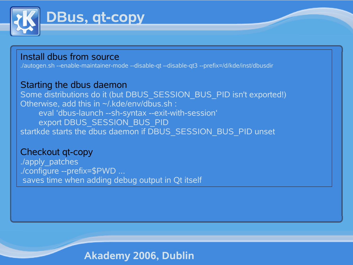

## Install dbus from source

./autogen.sh --enable-maintainer-mode --disable-qt --disable-qt3 --prefix=/d/kde/inst/dbusdir

#### Starting the dbus daemon

Some distributions do it (but DBUS\_SESSION\_BUS\_PID isn't exported!) Otherwise, add this in ~/.kde/env/dbus.sh : eval 'dbus-launch --sh-syntax --exit-with-session' export DBUS\_SESSION\_BUS\_PID startkde starts the dbus daemon if DBUS\_SESSION\_BUS\_PID unset

#### Checkout qt-copy

./apply\_patches ./configure --prefix=\$PWD ... saves time when adding debug output in Qt itself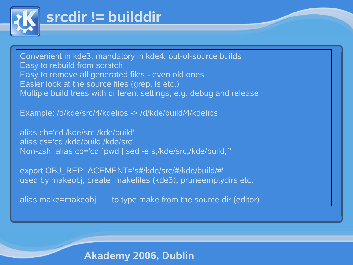

## **srcdir != builddir**

Convenient in kde3, mandatory in kde4: out-of-source builds Easy to rebuild from scratch Easy to remove all generated files - even old ones Easier look at the source files (grep, ls etc.) Multiple build trees with different settings, e.g. debug and release

Example: /d/kde/src/4/kdelibs -> /d/kde/build/4/kdelibs

alias cb='cd /kde/src /kde/build' alias cs='cd /kde/build /kde/src' Non-zsh: alias cb='cd `pwd | sed -e s,/kde/src,/kde/build,`'

export OBJ\_REPLACEMENT='s#/kde/src/#/kde/build/#' used by makeobj, create makefiles (kde3), pruneemptydirs etc.

alias make=makeobj to type make from the source dir (editor)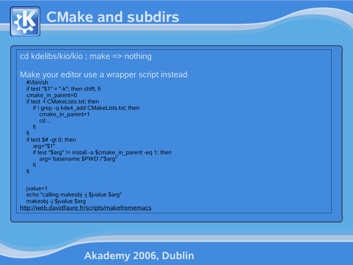

# **CMake and subdirs**

#### cd kdelibs/kio/kio ; make => nothing

```
Make your editor use a wrapper script instead
```

```
#!/bin/sh
if test "$1" = "-k"; then shift; fi
cmake in parent=0
if test -f CMakeLists.txt; then
  if ! grep -q kde4 add CMakeLists.txt; then
     cmake_in_parent=1
     cd ..
  fi
fi
if test $# -gt 0; then
  arg="$1"
  if test "$arg" != install -a $cmake_in_parent -eq 1; then
     arg=`basename $PWD`/"$arg"
  fi
fi
```
jvalue=1 echo "calling makeobj -j \$jvalue \$arg" makeobj -j \$jvalue \$arg http://web.davidfaure.fr/scripts/makefromemacs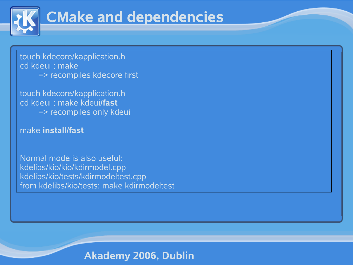

# **CMake and dependencies**

touch kdecore/kapplication.h cd kdeui ; make => recompiles kdecore first

touch kdecore/kapplication.h cd kdeui ; make kdeui**/fast** => recompiles only kdeui

#### make **install/fast**

Normal mode is also useful: kdelibs/kio/kio/kdirmodel.cpp kdelibs/kio/tests/kdirmodeltest.cpp from kdelibs/kio/tests: make kdirmodeltest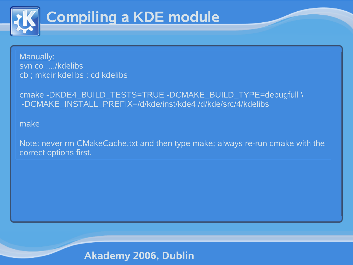

# **Compiling a KDE module**

Manually: svn co ..../kdelibs cb ; mkdir kdelibs ; cd kdelibs

cmake -DKDE4\_BUILD\_TESTS=TRUE -DCMAKE\_BUILD\_TYPE=debugfull \ -DCMAKE\_INSTALL\_PREFIX=/d/kde/inst/kde4 /d/kde/src/4/kdelibs

make

Note: never rm CMakeCache.txt and then type make; always re-run cmake with the correct options first.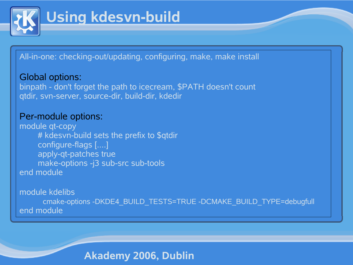

# **Using kdesvn-build**

All-in-one: checking-out/updating, configuring, make, make install

Global options: binpath - don't forget the path to icecream, \$PATH doesn't count qtdir, svn-server, source-dir, build-dir, kdedir

#### Per-module options:

module qt-copy # kdesvn-build sets the prefix to \$qtdir configure-flags [....] apply-qt-patches true make-options -j3 sub-src sub-tools end module

module kdelibs

cmake-options -DKDE4\_BUILD\_TESTS=TRUE -DCMAKE\_BUILD\_TYPE=debugfull end module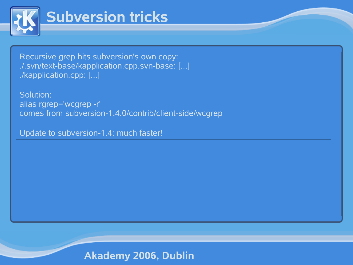

## **Subversion tricks**

Recursive grep hits subversion's own copy: ./.svn/text-base/kapplication.cpp.svn-base: [...] ./kapplication.cpp: [...]

Solution: alias rgrep='wcgrep -r' comes from subversion-1.4.0/contrib/client-side/wcgrep

Update to subversion-1.4: much faster!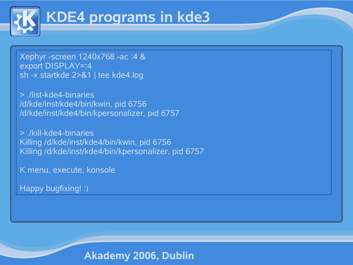

# **KDE4 programs in kde3**

Xephyr -screen 1240x768 -ac :4 & export DISPLAY=:4 sh -x startkde 2>&1 | tee kde4.log

> ./list-kde4-binaries /d/kde/inst/kde4/bin/kwin, pid 6756 /d/kde/inst/kde4/bin/kpersonalizer, pid 6757

> ./kill-kde4-binaries Killing /d/kde/inst/kde4/bin/kwin, pid 6756 Killing /d/kde/inst/kde4/bin/kpersonalizer, pid 6757

K menu, execute, konsole

Happy bugfixing! :)